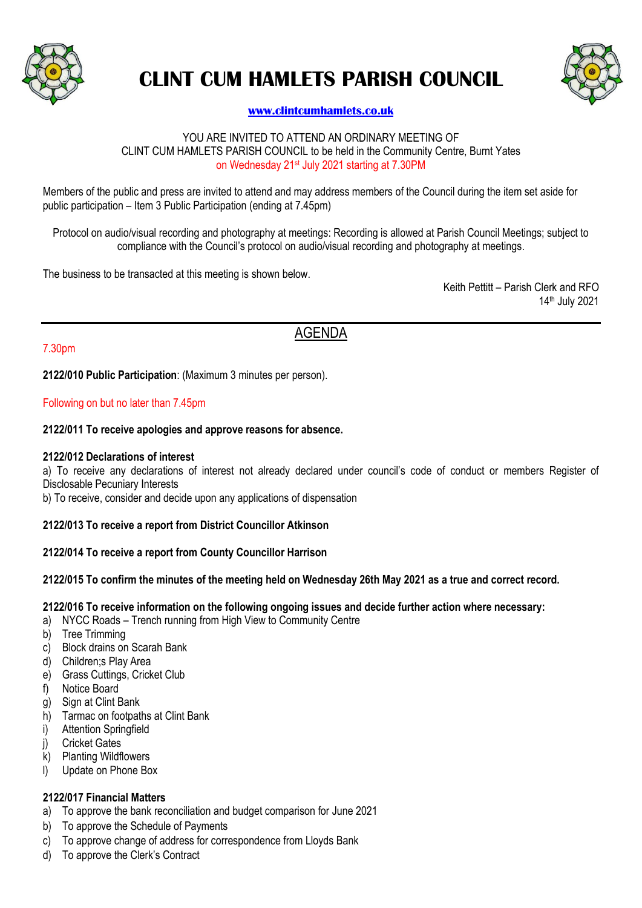

# **CLINT CUM HAMLETS PARISH COUNCIL**



# **[www.clintcumhamlets.co.uk](http://www.clintcumhamlets.co.uk/)**

#### YOU ARE INVITED TO ATTEND AN ORDINARY MEETING OF CLINT CUM HAMLETS PARISH COUNCIL to be held in the Community Centre, Burnt Yates on Wednesday 21st July 2021 starting at 7.30PM

Members of the public and press are invited to attend and may address members of the Council during the item set aside for public participation – Item 3 Public Participation (ending at 7.45pm)

Protocol on audio/visual recording and photography at meetings: Recording is allowed at Parish Council Meetings; subject to compliance with the Council's protocol on audio/visual recording and photography at meetings.

The business to be transacted at this meeting is shown below.

Keith Pettitt – Parish Clerk and RFO 14th July 2021

# AGENDA

# 7.30pm

**2122/010 Public Participation**: (Maximum 3 minutes per person).

#### Following on but no later than 7.45pm

#### **2122/011 To receive apologies and approve reasons for absence.**

#### **2122/012 Declarations of interest**

a) To receive any declarations of interest not already declared under council's code of conduct or members Register of Disclosable Pecuniary Interests

b) To receive, consider and decide upon any applications of dispensation

# **2122/013 To receive a report from District Councillor Atkinson**

# **2122/014 To receive a report from County Councillor Harrison**

# **2122/015 To confirm the minutes of the meeting held on Wednesday 26th May 2021 as a true and correct record.**

#### **2122/016 To receive information on the following ongoing issues and decide further action where necessary:**

- a) NYCC Roads Trench running from High View to Community Centre
- b) Tree Trimming
- c) Block drains on Scarah Bank
- d) Children;s Play Area
- e) Grass Cuttings, Cricket Club
- f) Notice Board
- g) Sign at Clint Bank
- h) Tarmac on footpaths at Clint Bank
- i) Attention Springfield
- j) Cricket Gates
- k) Planting Wildflowers
- l) Update on Phone Box

# **2122/017 Financial Matters**

- a) To approve the bank reconciliation and budget comparison for June 2021
- b) To approve the Schedule of Payments
- c) To approve change of address for correspondence from Lloyds Bank
- d) To approve the Clerk's Contract